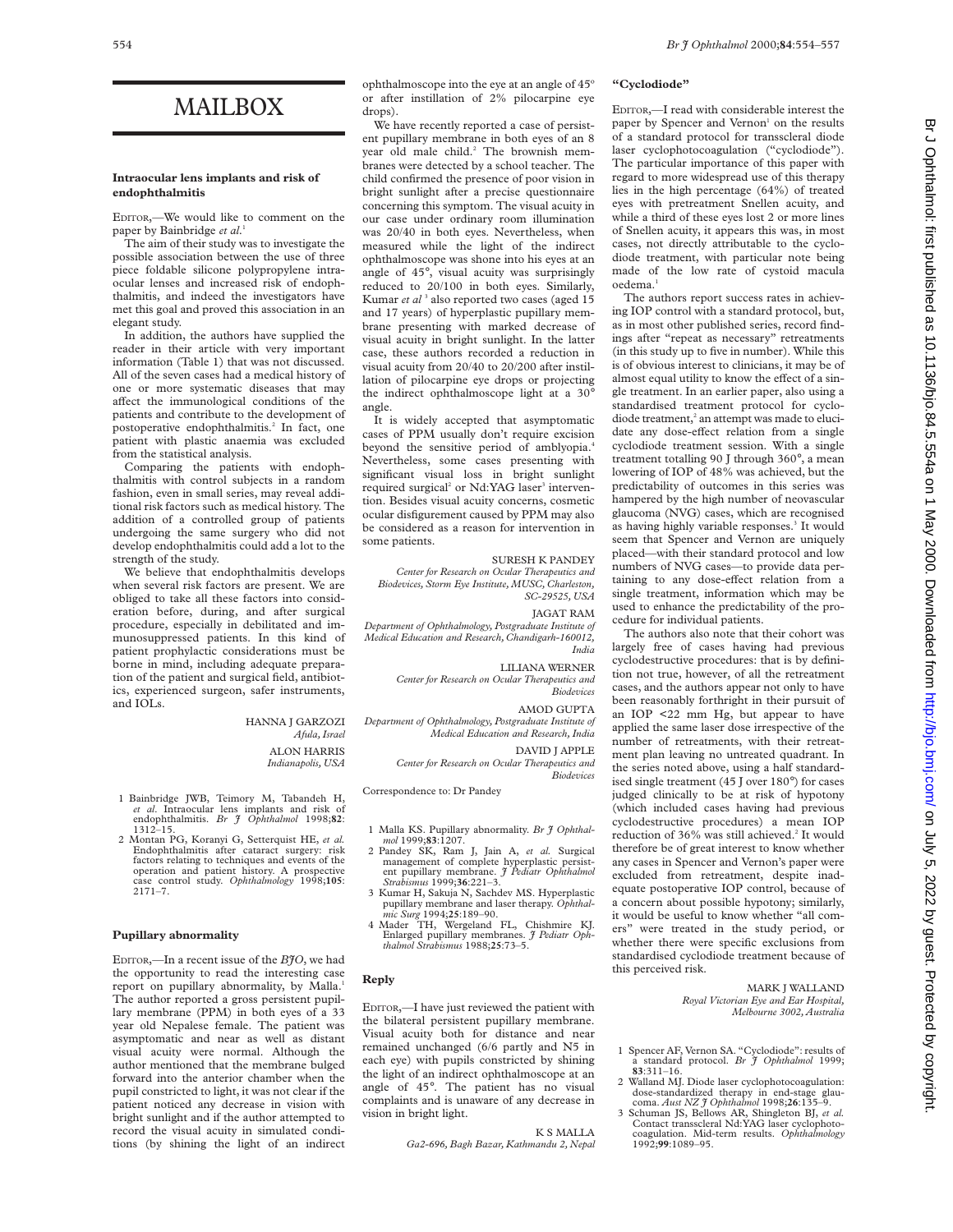# MAILBOX

### **Intraocular lens implants and risk of endophthalmitis**

EDITOR,—We would like to comment on the paper by Bainbridge *et al*. 1

The aim of their study was to investigate the possible association between the use of three piece foldable silicone polypropylene intraocular lenses and increased risk of endophthalmitis, and indeed the investigators have met this goal and proved this association in an elegant study.

In addition, the authors have supplied the reader in their article with very important information (Table 1) that was not discussed. All of the seven cases had a medical history of one or more systematic diseases that may affect the immunological conditions of the patients and contribute to the development of postoperative endophthalmitis.<sup>2</sup> In fact, one patient with plastic anaemia was excluded from the statistical analysis.

Comparing the patients with endophthalmitis with control subjects in a random fashion, even in small series, may reveal additional risk factors such as medical history. The addition of a controlled group of patients undergoing the same surgery who did not develop endophthalmitis could add a lot to the strength of the study.

We believe that endophthalmitis develops when several risk factors are present. We are obliged to take all these factors into consideration before, during, and after surgical procedure, especially in debilitated and immunosuppressed patients. In this kind of patient prophylactic considerations must be borne in mind, including adequate preparation of the patient and surgical field, antibiotics, experienced surgeon, safer instruments, and IOLs.

> HANNA J GARZOZI *Afula, Israel*

ALON HARRIS *Indianapolis, USA*

- 1 Bainbridge JWB, Teimory M, Tabandeh H, *et al*. Intraocular lens implants and risk of endophthalmitis. *Br J Ophthalmol* 1998;**82**: 1312–15.
- 2 Montan PG, Koranyi G, Setterquist HE, *et al.* Endophthalmitis after cataract surgery: risk factors relating to techniques and events of the operation and patient history. A prospective case control study. *Ophthalmology* 1998;**105**: 2171–7.

#### **Pupillary abnormality**

EDITOR,—In a recent issue of the *BJO*, we had the opportunity to read the interesting case report on pupillary abnormality, by Malla.<sup>1</sup> The author reported a gross persistent pupillary membrane (PPM) in both eyes of a 33 year old Nepalese female. The patient was asymptomatic and near as well as distant visual acuity were normal. Although the author mentioned that the membrane bulged forward into the anterior chamber when the pupil constricted to light, it was not clear if the patient noticed any decrease in vision with bright sunlight and if the author attempted to record the visual acuity in simulated conditions (by shining the light of an indirect ophthalmoscope into the eye at an angle of 45º or after instillation of 2% pilocarpine eye drops).

We have recently reported a case of persistent pupillary membrane in both eyes of an 8 year old male child.<sup>2</sup> The brownish membranes were detected by a school teacher. The child confirmed the presence of poor vision in bright sunlight after a precise questionnaire concerning this symptom. The visual acuity in our case under ordinary room illumination was 20/40 in both eyes. Nevertheless, when measured while the light of the indirect ophthalmoscope was shone into his eyes at an angle of 45°, visual acuity was surprisingly reduced to 20/100 in both eyes. Similarly, Kumar et al<sup>3</sup> also reported two cases (aged 15 and 17 years) of hyperplastic pupillary membrane presenting with marked decrease of visual acuity in bright sunlight. In the latter case, these authors recorded a reduction in visual acuity from 20/40 to 20/200 after instillation of pilocarpine eye drops or projecting the indirect ophthalmoscope light at a 30° angle.

It is widely accepted that asymptomatic cases of PPM usually don't require excision beyond the sensitive period of amblyopia.<sup>4</sup> Nevertheless, some cases presenting with significant visual loss in bright sunlight required surgical<sup>2</sup> or Nd:YAG laser<sup>3</sup> intervention. Besides visual acuity concerns, cosmetic ocular disfigurement caused by PPM may also be considered as a reason for intervention in some patients.

#### SURESH K PANDEY

*Center for Research on Ocular Therapeutics and Biodevices, Storm Eye Institute, MUSC, Charleston, SC-29525, USA*

JAGAT RAM

*Department of Ophthalmology, Postgraduate Institute of Medical Education and Research, Chandigarh-160012, India*

LILIANA WERNER

*Center for Research on Ocular Therapeutics and*

*Biodevices*

AMOD GUPTA *Department of Ophthalmology, Postgraduate Institute of Medical Education and Research, India*

DAVID J APPLE

*Center for Research on Ocular Therapeutics and*

*Biodevices*

Correspondence to: Dr Pandey

- 1 Malla KS. Pupillary abnormality. *Br J Ophthalmol* 1999;**83**:1207.
- 2 Pandey SK, Ram J, Jain A, *et al.* Surgical management of complete hyperplastic persist-ent pupillary membrane. *J Pediatr Ophthalmol Strabismus* 1999;**36**:221–3.
- 3 Kumar H, Sakuja N, Sachdev MS. Hyperplastic pupillary membrane and laser therapy. *Ophthal-mic Surg* 1994;**25**:189–90.
- 4 Mader TH, Wergeland FL, Chishmire KJ. Enlarged pupillary membranes. *J Pediatr Oph-thalmol Strabismus* 1988;**25**:73–5.

#### **Reply**

EDITOR,—I have just reviewed the patient with the bilateral persistent pupillary membrane. Visual acuity both for distance and near remained unchanged (6/6 partly and N5 in each eye) with pupils constricted by shining the light of an indirect ophthalmoscope at an angle of 45°. The patient has no visual complaints and is unaware of any decrease in vision in bright light.

K S MALLA

*Ga2-696, Bagh Bazar, Kathmandu 2, Nepal*

#### **"Cyclodiode"**

EDITOR,—I read with considerable interest the paper by Spencer and Vernon<sup>1</sup> on the results of a standard protocol for transscleral diode laser cyclophotocoagulation ("cyclodiode"). The particular importance of this paper with regard to more widespread use of this therapy lies in the high percentage (64%) of treated eyes with pretreatment Snellen acuity, and while a third of these eyes lost 2 or more lines of Snellen acuity, it appears this was, in most cases, not directly attributable to the cyclodiode treatment, with particular note being made of the low rate of cystoid macula oedema.<sup>1</sup>

The authors report success rates in achieving IOP control with a standard protocol, but, as in most other published series, record findings after "repeat as necessary" retreatments (in this study up to five in number). While this is of obvious interest to clinicians, it may be of almost equal utility to know the effect of a single treatment. In an earlier paper, also using a standardised treatment protocol for cyclodiode treatment,<sup>2</sup> an attempt was made to elucidate any dose-effect relation from a single cyclodiode treatment session. With a single treatment totalling 90 J through 360°, a mean lowering of IOP of 48% was achieved, but the predictability of outcomes in this series was hampered by the high number of neovascular glaucoma (NVG) cases, which are recognised as having highly variable responses.<sup>3</sup> It would seem that Spencer and Vernon are uniquely placed—with their standard protocol and low numbers of NVG cases—to provide data pertaining to any dose-effect relation from a single treatment, information which may be used to enhance the predictability of the procedure for individual patients.

The authors also note that their cohort was largely free of cases having had previous cyclodestructive procedures: that is by definition not true, however, of all the retreatment cases, and the authors appear not only to have been reasonably forthright in their pursuit of an IOP <22 mm Hg, but appear to have applied the same laser dose irrespective of the number of retreatments, with their retreatment plan leaving no untreated quadrant. In the series noted above, using a half standardised single treatment (45 J over 180°) for cases judged clinically to be at risk of hypotony (which included cases having had previous cyclodestructive procedures) a mean IOP reduction of 36% was still achieved.2 It would therefore be of great interest to know whether any cases in Spencer and Vernon's paper were excluded from retreatment, despite inadequate postoperative IOP control, because of a concern about possible hypotony; similarly, it would be useful to know whether "all comers" were treated in the study period, or whether there were specific exclusions from standardised cyclodiode treatment because of this perceived risk.

> MARK J WALLAND *Royal Victorian Eye and Ear Hospital, Melbourne 3002, Australia*

- 2 Walland MJ. Diode laser cyclophotocoagulation: dose-standardized therapy in end-stage glau-coma. *Aust NZ J Ophthalmol* 1998;**26**:135–9.
- 3 Schuman JS, Bellows AR, Shingleton BJ, *et al.* Contact transscleral Nd:YAG laser cyclophotocoagulation. Mid-term results. *Ophthalmology* 1992;**99**:1089–95.

<sup>1</sup> Spencer AF, Vernon SA. "Cyclodiode": results of a standard protocol. *Br J Ophthalmol* 1999; **83**:311–16.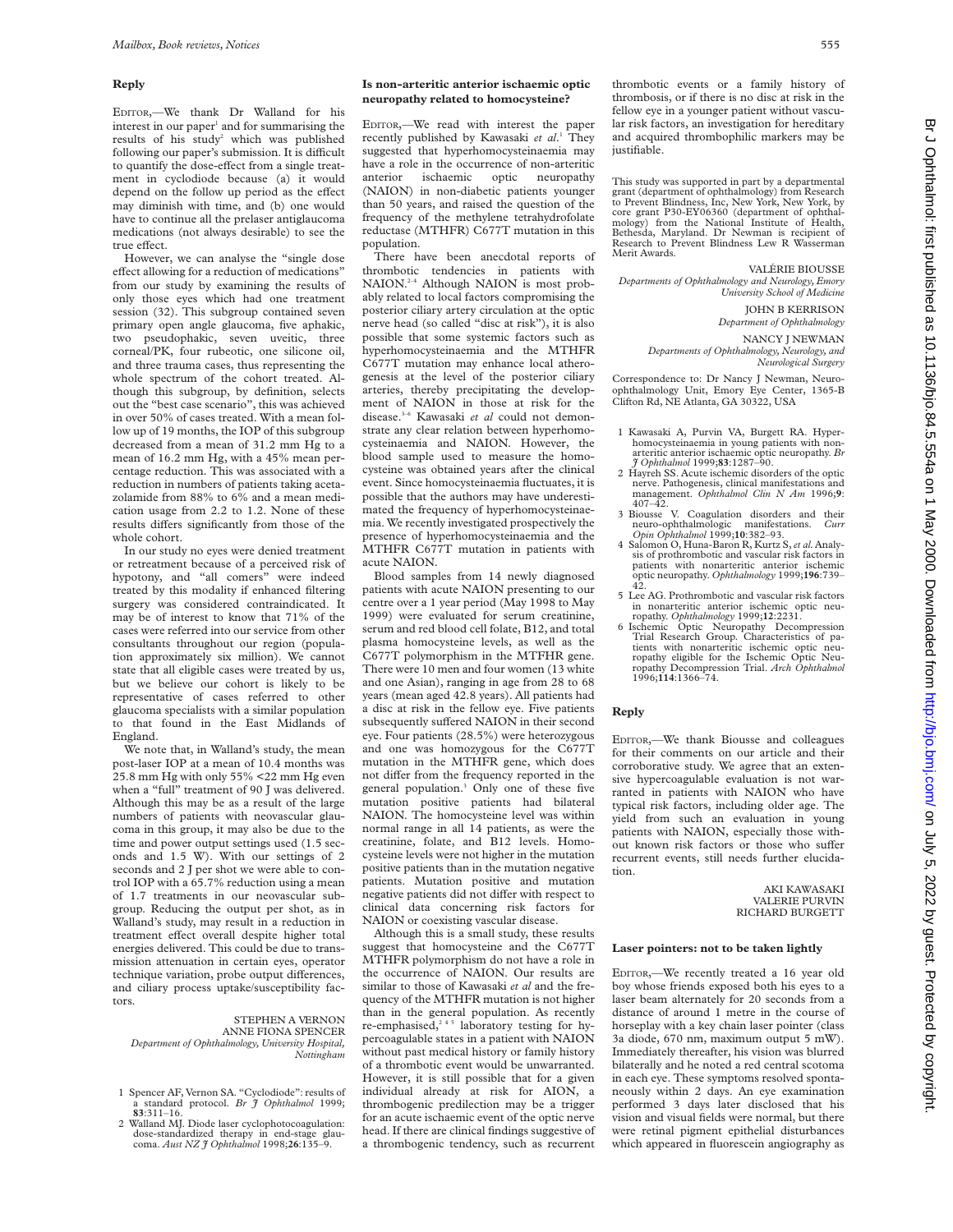#### **Reply**

EDITOR,—We thank Dr Walland for his interest in our paper<sup>1</sup> and for summarising the results of his study<sup>2</sup> which was published following our paper's submission. It is difficult to quantify the dose-effect from a single treatment in cyclodiode because (a) it would depend on the follow up period as the effect may diminish with time, and (b) one would have to continue all the prelaser antiglaucoma medications (not always desirable) to see the true effect.

However, we can analyse the "single dose effect allowing for a reduction of medications' from our study by examining the results of only those eyes which had one treatment session (32). This subgroup contained seven primary open angle glaucoma, five aphakic, two pseudophakic, seven uveitic, three corneal/PK, four rubeotic, one silicone oil, and three trauma cases, thus representing the whole spectrum of the cohort treated. Although this subgroup, by definition, selects out the "best case scenario", this was achieved in over 50% of cases treated. With a mean follow up of 19 months, the IOP of this subgroup decreased from a mean of 31.2 mm Hg to a mean of 16.2 mm Hg, with a 45% mean percentage reduction. This was associated with a reduction in numbers of patients taking acetazolamide from 88% to 6% and a mean medication usage from 2.2 to 1.2. None of these results differs significantly from those of the whole cohort.

In our study no eyes were denied treatment or retreatment because of a perceived risk of hypotony, and "all comers" were indeed treated by this modality if enhanced filtering surgery was considered contraindicated. It may be of interest to know that 71% of the cases were referred into our service from other consultants throughout our region (population approximately six million). We cannot state that all eligible cases were treated by us, but we believe our cohort is likely to be representative of cases referred to other glaucoma specialists with a similar population to that found in the East Midlands of England.

We note that, in Walland's study, the mean post-laser IOP at a mean of 10.4 months was 25.8 mm Hg with only 55% <22 mm Hg even when a "full" treatment of 90 J was delivered. Although this may be as a result of the large numbers of patients with neovascular glaucoma in this group, it may also be due to the time and power output settings used (1.5 seconds and 1.5 W). With our settings of 2 seconds and 2 J per shot we were able to control IOP with a 65.7% reduction using a mean of 1.7 treatments in our neovascular subgroup. Reducing the output per shot, as in Walland's study, may result in a reduction in treatment effect overall despite higher total energies delivered. This could be due to transmission attenuation in certain eyes, operator technique variation, probe output differences, and ciliary process uptake/susceptibility factors.

#### STEPHEN A VERNON

ANNE FIONA SPENCER *Department of Ophthalmology, University Hospital, Nottingham*

- 1 Spencer AF, Vernon SA. "Cyclodiode": results of a standard protocol. *Br J Ophthalmol* 1999; **83**:311–16.
- 2 Walland MJ. Diode laser cyclophotocoagulation: dose-standardized therapy in end-stage glau-coma. *Aust NZ J Ophthalmol* 1998;**26**:135–9.

#### **Is non-arteritic anterior ischaemic optic neuropathy related to homocysteine?**

EDITOR,—We read with interest the paper recently published by Kawasaki *et al*. <sup>1</sup> They suggested that hyperhomocysteinaemia may have a role in the occurrence of non-arteritic anterior ischaemic optic neuropathy (NAION) in non-diabetic patients younger than 50 years, and raised the question of the frequency of the methylene tetrahydrofolate reductase (MTHFR) C677T mutation in this population.

There have been anecdotal reports of thrombotic tendencies in patients with NAION.2–4 Although NAION is most probably related to local factors compromising the posterior ciliary artery circulation at the optic nerve head (so called "disc at risk"), it is also possible that some systemic factors such as hyperhomocysteinaemia and the MTHFR C677T mutation may enhance local atherogenesis at the level of the posterior ciliary arteries, thereby precipitating the development of NAION in those at risk for the disease.3–6 Kawasaki *et al* could not demonstrate any clear relation between hyperhomocysteinaemia and NAION. However, the blood sample used to measure the homocysteine was obtained years after the clinical event. Since homocysteinaemia fluctuates, it is possible that the authors may have underestimated the frequency of hyperhomocysteinaemia. We recently investigated prospectively the presence of hyperhomocysteinaemia and the MTHFR C677T mutation in patients with acute NAION.

Blood samples from 14 newly diagnosed patients with acute NAION presenting to our centre over a 1 year period (May 1998 to May 1999) were evaluated for serum creatinine, serum and red blood cell folate, B12, and total plasma homocysteine levels, as well as the C677T polymorphism in the MTFHR gene. There were 10 men and four women (13 white and one Asian), ranging in age from 28 to 68 years (mean aged 42.8 years). All patients had a disc at risk in the fellow eye. Five patients subsequently suffered NAION in their second eye. Four patients (28.5%) were heterozygous and one was homozygous for the C677T mutation in the MTHFR gene, which does not differ from the frequency reported in the general population.3 Only one of these five mutation positive patients had bilateral NAION. The homocysteine level was within normal range in all 14 patients, as were the creatinine, folate, and B12 levels. Homocysteine levels were not higher in the mutation positive patients than in the mutation negative patients. Mutation positive and mutation negative patients did not differ with respect to clinical data concerning risk factors for NAION or coexisting vascular disease.

Although this is a small study, these results suggest that homocysteine and the C677T MTHFR polymorphism do not have a role in the occurrence of NAION. Our results are similar to those of Kawasaki *et al* and the frequency of the MTHFR mutation is not higher than in the general population. As recently re-emphasised,<sup>245</sup> laboratory testing for hypercoagulable states in a patient with NAION without past medical history or family history of a thrombotic event would be unwarranted. However, it is still possible that for a given individual already at risk for AION, a thrombogenic predilection may be a trigger for an acute ischaemic event of the optic nerve head. If there are clinical findings suggestive of a thrombogenic tendency, such as recurrent

thrombotic events or a family history of thrombosis, or if there is no disc at risk in the fellow eye in a younger patient without vascular risk factors, an investigation for hereditary and acquired thrombophilic markers may be justifiable.

This study was supported in part by a departmental grant (department of ophthalmology) from Research to Prevent Blindness, Inc, New York, New York, by core grant P30-EY06360 (department of ophthalmology) from the National Institute of Health, Bethesda, Maryland. Dr Newman is recipient of Research to Prevent Blindness Lew R Wasserman Merit Awards.

VALÉRIE BIOUSSE

*Departments of Ophthalmology and Neurology, Emory University School of Medicine*

JOHN B KERRISON

*Department of Ophthalmology*

NANCY J NEWMAN *Departments of Ophthalmology, Neurology, and*

*Neurological Surgery*

Correspondence to: Dr Nancy J Newman, Neuroophthalmology Unit, Emory Eye Center, 1365-B Clifton Rd, NE Atlanta, GA 30322, USA

- 1 Kawasaki A, Purvin VA, Burgett RA. Hyperhomocysteinaemia in young patients with nonarteritic anterior ischaemic optic neuropathy. *Br J Ophthalmol* 1999;**83**:1287–90.
- 2 Hayreh SS. Acute ischemic disorders of the optic nerve. Pathogenesis, clinical manifestations and management. *Ophthalmol Clin N Am* 1996;**9**: 407–42.
- 3 Biousse V. Coagulation disorders and their<br>neuro-ophthalmologic manifestations. Curr neuro-ophthalmologic manifesta<br>Opin Ophthalmol 1999;10:382-93.
- 4 Salomon O, Huna-Baron R, Kurtz S, et al. Analysis of prothrombotic and vascular risk factors in patients with nonarteritic anterior ischemic optic neuropathy. *Ophthalmology* 1999;**196**:739– 42.
- 5 Lee AG. Prothrombotic and vascular risk factors in nonarteritic anterior ischemic optic neu-ropathy. *Ophthalmology* 1999;**12**:2231.
- 6 Ischemic Optic Neuropathy Decompression Trial Research Group. Characteristics of patients with nonarteritic ischemic optic neuropathy eligible for the Ischemic Optic Neu-ropathy Decompression Trial. *Arch Ophthalmol* 1996;**114**:1366–74.

#### **Reply**

EDITOR,—We thank Biousse and colleagues for their comments on our article and their corroborative study. We agree that an extensive hypercoagulable evaluation is not warranted in patients with NAION who have typical risk factors, including older age. The yield from such an evaluation in young patients with NAION, especially those without known risk factors or those who suffer recurrent events, still needs further elucidation.

> AKI KAWASAKI VALERIE PURVIN RICHARD BURGETT

## **Laser pointers: not to be taken lightly**

EDITOR,—We recently treated a 16 year old boy whose friends exposed both his eyes to a laser beam alternately for 20 seconds from a distance of around 1 metre in the course of horseplay with a key chain laser pointer (class 3a diode, 670 nm, maximum output 5 mW). Immediately thereafter, his vision was blurred bilaterally and he noted a red central scotoma in each eye. These symptoms resolved spontaneously within 2 days. An eye examination performed 3 days later disclosed that his vision and visual fields were normal, but there were retinal pigment epithelial disturbances which appeared in fluorescein angiography as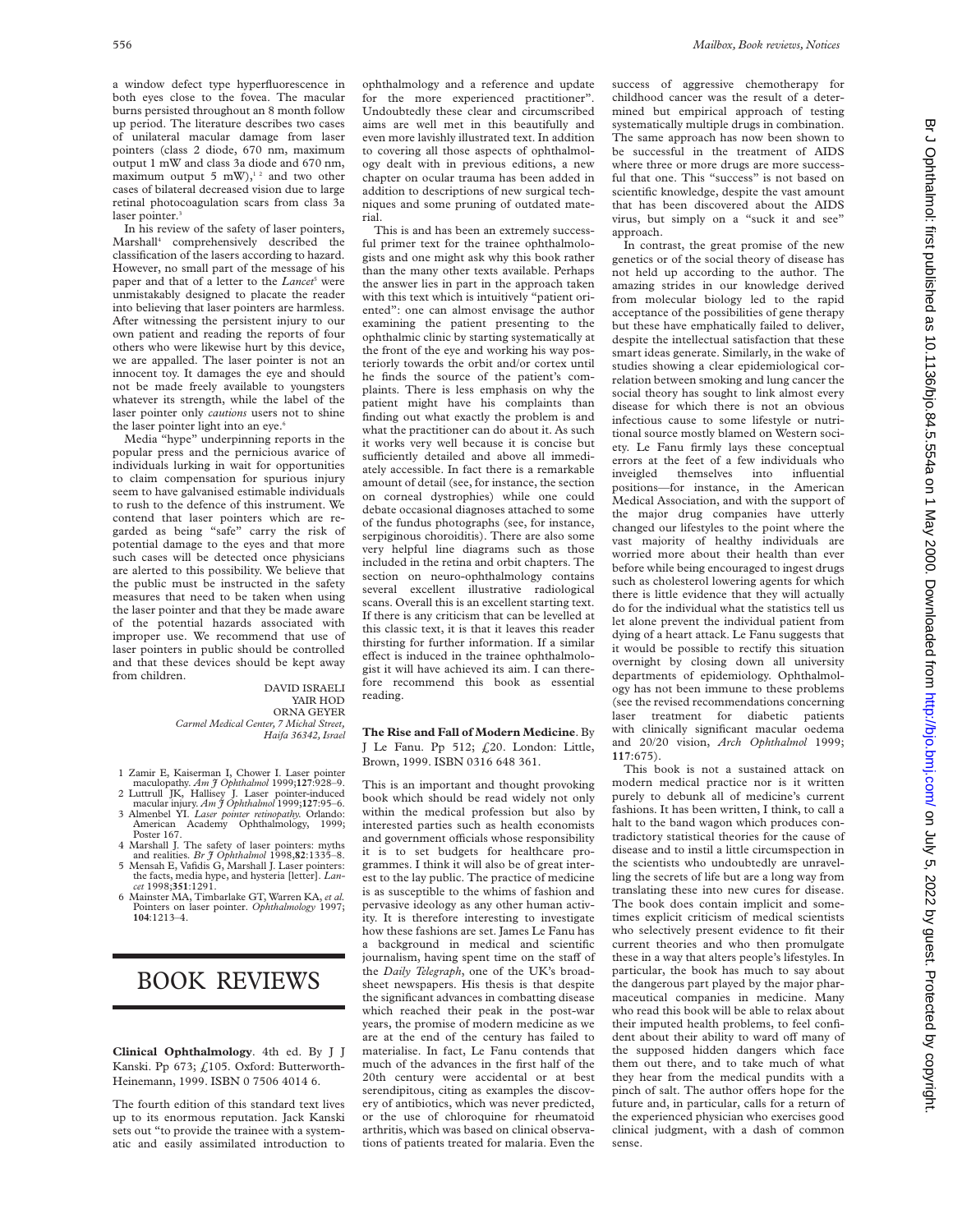a window defect type hyperfluorescence in both eyes close to the fovea. The macular burns persisted throughout an 8 month follow up period. The literature describes two cases of unilateral macular damage from laser pointers (class 2 diode, 670 nm, maximum output 1 mW and class 3a diode and 670 nm, maximum output 5 mW),<sup>12</sup> and two other cases of bilateral decreased vision due to large retinal photocoagulation scars from class 3a laser pointer.<sup>3</sup>

In his review of the safety of laser pointers, Marshall<sup>4</sup> comprehensively described the classification of the lasers according to hazard. However, no small part of the message of his paper and that of a letter to the *Lancet<sup>5</sup>* were unmistakably designed to placate the reader into believing that laser pointers are harmless. After witnessing the persistent injury to our own patient and reading the reports of four others who were likewise hurt by this device, we are appalled. The laser pointer is not an innocent toy. It damages the eye and should not be made freely available to youngsters whatever its strength, while the label of the laser pointer only *cautions* users not to shine the laser pointer light into an eye.<sup>6</sup>

Media "hype" underpinning reports in the popular press and the pernicious avarice of individuals lurking in wait for opportunities to claim compensation for spurious injury seem to have galvanised estimable individuals to rush to the defence of this instrument. We contend that laser pointers which are regarded as being "safe" carry the risk of potential damage to the eyes and that more such cases will be detected once physicians are alerted to this possibility. We believe that the public must be instructed in the safety measures that need to be taken when using the laser pointer and that they be made aware of the potential hazards associated with improper use. We recommend that use of laser pointers in public should be controlled and that these devices should be kept away from children.

> DAVID ISRAELI YAIR HOD ORNA GEYER *Carmel Medical Center, 7 Michal Street, Haifa 36342, Israel*

- 1 Zamir E, Kaiserman I, Chower I. Laser pointer maculopathy. *Am J Ophthalmol* 1999;**127**:928–9. 2 Luttrull JK, Hallisey J. Laser pointer-induced
- macular injury. *Am J Ophthalmol* 1999;**127**:95–6.
- 3 Almenbel YI. *Laser pointer retinopathy.* Orlando: American Academy Ophthalmology, 1999; Poster 167.
- 4 Marshall J. The safety of laser pointers: myths and realities. *Br J Ophthalmol* 1998,**82**:1335–8. 5 Mensah E, Vafidis G, Marshall J. Laser pointers: the facts, media hype, and hysteria [letter]. *Lan- cet* 1998;**351**:1291.
- 6 Mainster MA, Timbarlake GT, Warren KA, *et al.* Pointers on laser pointer. *Ophthalmology* 1997; **<sup>104</sup>**:1213–4.

# BOOK REVIEWS

**Clinical Ophthalmology**. 4th ed. By J J Kanski. Pp 673; £105. Oxford: Butterworth-Heinemann, 1999. ISBN 0 7506 4014 6.

The fourth edition of this standard text lives up to its enormous reputation. Jack Kanski sets out "to provide the trainee with a systematic and easily assimilated introduction to ophthalmology and a reference and update for the more experienced practitioner". Undoubtedly these clear and circumscribed aims are well met in this beautifully and even more lavishly illustrated text. In addition to covering all those aspects of ophthalmology dealt with in previous editions, a new chapter on ocular trauma has been added in addition to descriptions of new surgical techniques and some pruning of outdated material.

This is and has been an extremely successful primer text for the trainee ophthalmologists and one might ask why this book rather than the many other texts available. Perhaps the answer lies in part in the approach taken with this text which is intuitively "patient oriented": one can almost envisage the author examining the patient presenting to the ophthalmic clinic by starting systematically at the front of the eye and working his way posteriorly towards the orbit and/or cortex until he finds the source of the patient's complaints. There is less emphasis on why the patient might have his complaints than finding out what exactly the problem is and what the practitioner can do about it. As such it works very well because it is concise but sufficiently detailed and above all immediately accessible. In fact there is a remarkable amount of detail (see, for instance, the section on corneal dystrophies) while one could debate occasional diagnoses attached to some of the fundus photographs (see, for instance, serpiginous choroiditis). There are also some very helpful line diagrams such as those included in the retina and orbit chapters. The section on neuro-ophthalmology contains several excellent illustrative radiological scans. Overall this is an excellent starting text. If there is any criticism that can be levelled at this classic text, it is that it leaves this reader thirsting for further information. If a similar effect is induced in the trainee ophthalmologist it will have achieved its aim. I can therefore recommend this book as essential reading.

### **The Rise and Fall of Modern Medicine**. By J Le Fanu. Pp 512; £20. London: Little, Brown, 1999. ISBN 0316 648 361.

This is an important and thought provoking book which should be read widely not only within the medical profession but also by interested parties such as health economists and government officials whose responsibility it is to set budgets for healthcare programmes. I think it will also be of great interest to the lay public. The practice of medicine is as susceptible to the whims of fashion and pervasive ideology as any other human activity. It is therefore interesting to investigate how these fashions are set. James Le Fanu has a background in medical and scientific journalism, having spent time on the staff of the *Daily Telegraph*, one of the UK's broadsheet newspapers. His thesis is that despite the significant advances in combatting disease which reached their peak in the post-war years, the promise of modern medicine as we are at the end of the century has failed to materialise. In fact, Le Fanu contends that much of the advances in the first half of the 20th century were accidental or at best serendipitous, citing as examples the discovery of antibiotics, which was never predicted, or the use of chloroquine for rheumatoid arthritis, which was based on clinical observations of patients treated for malaria. Even the

success of aggressive chemotherapy for childhood cancer was the result of a determined but empirical approach of testing systematically multiple drugs in combination. The same approach has now been shown to be successful in the treatment of AIDS where three or more drugs are more successful that one. This "success" is not based on scientific knowledge, despite the vast amount that has been discovered about the AIDS virus, but simply on a "suck it and see" approach.

In contrast, the great promise of the new genetics or of the social theory of disease has not held up according to the author. The amazing strides in our knowledge derived from molecular biology led to the rapid acceptance of the possibilities of gene therapy but these have emphatically failed to deliver, despite the intellectual satisfaction that these smart ideas generate. Similarly, in the wake of studies showing a clear epidemiological correlation between smoking and lung cancer the social theory has sought to link almost every disease for which there is not an obvious infectious cause to some lifestyle or nutritional source mostly blamed on Western society. Le Fanu firmly lays these conceptual errors at the feet of a few individuals who inveigled themselves into influential positions—for instance, in the American Medical Association, and with the support of the major drug companies have utterly changed our lifestyles to the point where the vast majority of healthy individuals are worried more about their health than ever before while being encouraged to ingest drugs such as cholesterol lowering agents for which there is little evidence that they will actually do for the individual what the statistics tell us let alone prevent the individual patient from dying of a heart attack. Le Fanu suggests that it would be possible to rectify this situation overnight by closing down all university departments of epidemiology. Ophthalmology has not been immune to these problems (see the revised recommendations concerning laser treatment for diabetic patients with clinically significant macular oedema and 20/20 vision, *Arch Ophthalmol* 1999; **117**:675).

This book is not a sustained attack on modern medical practice nor is it written purely to debunk all of medicine's current fashions. It has been written, I think, to call a halt to the band wagon which produces contradictory statistical theories for the cause of disease and to instil a little circumspection in the scientists who undoubtedly are unravelling the secrets of life but are a long way from translating these into new cures for disease. The book does contain implicit and sometimes explicit criticism of medical scientists who selectively present evidence to fit their current theories and who then promulgate these in a way that alters people's lifestyles. In particular, the book has much to say about the dangerous part played by the major pharmaceutical companies in medicine. Many who read this book will be able to relax about their imputed health problems, to feel confident about their ability to ward off many of the supposed hidden dangers which face them out there, and to take much of what they hear from the medical pundits with a pinch of salt. The author offers hope for the future and, in particular, calls for a return of the experienced physician who exercises good clinical judgment, with a dash of common sense.